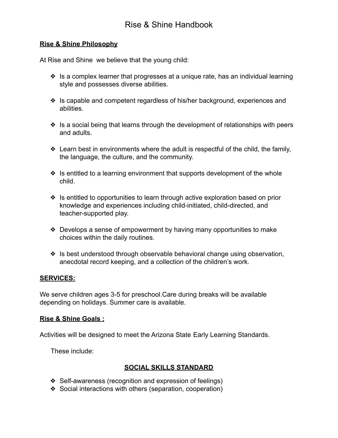#### **Rise & Shine Philosophy**

At Rise and Shine we believe that the young child:

- ❖ Is a complex learner that progresses at a unique rate, has an individual learning style and possesses diverse abilities.
- ❖ Is capable and competent regardless of his/her background, experiences and abilities.
- ❖ Is a social being that learns through the development of relationships with peers and adults.
- ❖ Learn best in environments where the adult is respectful of the child, the family, the language, the culture, and the community.
- ❖ Is entitled to a learning environment that supports development of the whole child.
- ❖ Is entitled to opportunities to learn through active exploration based on prior knowledge and experiences including child-initiated, child-directed, and teacher-supported play.
- ❖ Develops a sense of empowerment by having many opportunities to make choices within the daily routines.
- ❖ Is best understood through observable behavioral change using observation, anecdotal record keeping, and a collection of the children's work.

#### **SERVICES:**

We serve children ages 3-5 for preschool.Care during breaks will be available depending on holidays. Summer care is available.

#### **Rise & Shine Goals :**

Activities will be designed to meet the Arizona State Early Learning Standards.

These include:

## **SOCIAL SKILLS STANDARD**

- ❖ Self-awareness (recognition and expression of feelings)
- ❖ Social interactions with others (separation, cooperation)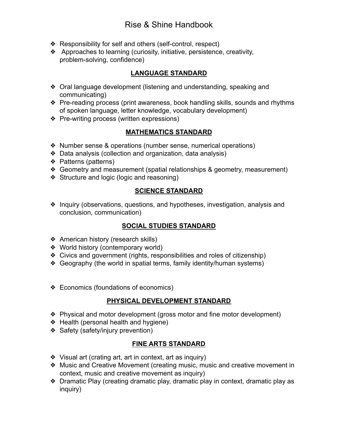- ❖ Responsibility for self and others (self-control, respect)
- ❖ Approaches to learning (curiosity, initiative, persistence, creativity, problem-solving, confidence)

### **LANGUAGE STANDARD**

- ❖ Oral language development (listening and understanding, speaking and communicating)
- ❖ Pre-reading process (print awareness, book handling skills, sounds and rhythms of spoken language, letter knowledge, vocabulary development)
- ❖ Pre-writing process (written expressions)

## **MATHEMATICS STANDARD**

- ❖ Number sense & operations (number sense, numerical operations)
- ❖ Data analysis (collection and organization, data analysis)
- ❖ Patterns (patterns)
- ❖ Geometry and measurement (spatial relationships & geometry, measurement)
- ❖ Structure and logic (logic and reasoning)

## **SCIENCE STANDARD**

❖ Inquiry (observations, questions, and hypotheses, investigation, analysis and conclusion, communication)

## **SOCIAL STUDIES STANDARD**

- ❖ American history (research skills)
- ❖ World history (contemporary world)
- ❖ Civics and government (rights, responsibilities and roles of citizenship)
- ❖ Geography (the world in spatial terms, family identity/human systems)
- ❖ Economics (foundations of economics)

## **PHYSICAL DEVELOPMENT STANDARD**

- ❖ Physical and motor development (gross motor and fine motor development)
- ❖ Health (personal health and hygiene)
- ❖ Safety (safety/injury prevention)

## **FINE ARTS STANDARD**

- ❖ Visual art (crating art, art in context, art as inquiry)
- ❖ Music and Creative Movement (creating music, music and creative movement in context, music and creative movement as inquiry)
- ❖ Dramatic Play (creating dramatic play, dramatic play in context, dramatic play as inquiry)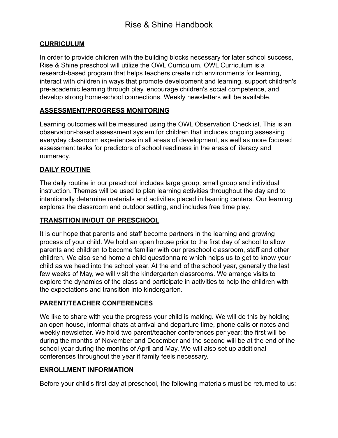### **CURRICULUM**

In order to provide children with the building blocks necessary for later school success, Rise & Shine preschool will utilize the OWL Curriculum. OWL Curriculum is a research-based program that helps teachers create rich environments for learning, interact with children in ways that promote development and learning, support children's pre-academic learning through play, encourage children's social competence, and develop strong home-school connections. Weekly newsletters will be available.

### **ASSESSMENT/PROGRESS MONITORING**

Learning outcomes will be measured using the OWL Observation Checklist. This is an observation-based assessment system for children that includes ongoing assessing everyday classroom experiences in all areas of development, as well as more focused assessment tasks for predictors of school readiness in the areas of literacy and numeracy.

### **DAILY ROUTINE**

The daily routine in our preschool includes large group, small group and individual instruction. Themes will be used to plan learning activities throughout the day and to intentionally determine materials and activities placed in learning centers. Our learning explores the classroom and outdoor setting, and includes free time play.

### **TRANSITION IN/OUT OF PRESCHOOL**

It is our hope that parents and staff become partners in the learning and growing process of your child. We hold an open house prior to the first day of school to allow parents and children to become familiar with our preschool classroom, staff and other children. We also send home a child questionnaire which helps us to get to know your child as we head into the school year. At the end of the school year, generally the last few weeks of May, we will visit the kindergarten classrooms. We arrange visits to explore the dynamics of the class and participate in activities to help the children with the expectations and transition into kindergarten.

#### **PARENT/TEACHER CONFERENCES**

We like to share with you the progress your child is making. We will do this by holding an open house, informal chats at arrival and departure time, phone calls or notes and weekly newsletter. We hold two parent/teacher conferences per year; the first will be during the months of November and December and the second will be at the end of the school year during the months of April and May. We will also set up additional conferences throughout the year if family feels necessary.

#### **ENROLLMENT INFORMATION**

Before your child's first day at preschool, the following materials must be returned to us: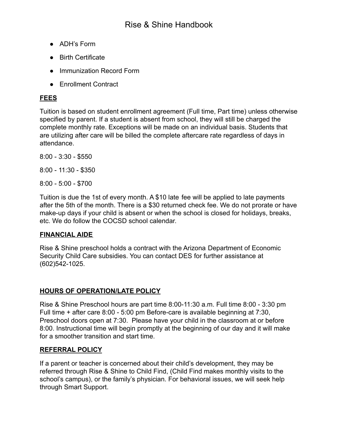- ADH's Form
- Birth Certificate
- Immunization Record Form
- Enrollment Contract

## **FEES**

Tuition is based on student enrollment agreement (Full time, Part time) unless otherwise specified by parent. If a student is absent from school, they will still be charged the complete monthly rate. Exceptions will be made on an individual basis. Students that are utilizing after care will be billed the complete aftercare rate regardless of days in attendance.

8:00 - 3:30 - \$550

8:00 - 11:30 - \$350

8:00 - 5:00 - \$700

Tuition is due the 1st of every month. A \$10 late fee will be applied to late payments after the 5th of the month. There is a \$30 returned check fee. We do not prorate or have make-up days if your child is absent or when the school is closed for holidays, breaks, etc. We do follow the COCSD school calendar.

## **FINANCIAL AIDE**

Rise & Shine preschool holds a contract with the Arizona Department of Economic Security Child Care subsidies. You can contact DES for further assistance at (602)542-1025.

## **HOURS OF OPERATION/LATE POLICY**

Rise & Shine Preschool hours are part time 8:00-11:30 a.m. Full time 8:00 - 3:30 pm Full time + after care 8:00 - 5:00 pm Before-care is available beginning at 7:30, Preschool doors open at 7:30. Please have your child in the classroom at or before 8:00. Instructional time will begin promptly at the beginning of our day and it will make for a smoother transition and start time.

## **REFERRAL POLICY**

If a parent or teacher is concerned about their child's development, they may be referred through Rise & Shine to Child Find, (Child Find makes monthly visits to the school's campus), or the family's physician. For behavioral issues, we will seek help through Smart Support.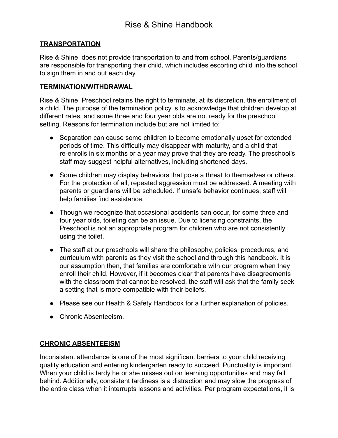#### **TRANSPORTATION**

Rise & Shine does not provide transportation to and from school. Parents/guardians are responsible for transporting their child, which includes escorting child into the school to sign them in and out each day.

#### **TERMINATION/WITHDRAWAL**

Rise & Shine Preschool retains the right to terminate, at its discretion, the enrollment of a child. The purpose of the termination policy is to acknowledge that children develop at different rates, and some three and four year olds are not ready for the preschool setting. Reasons for termination include but are not limited to:

- Separation can cause some children to become emotionally upset for extended periods of time. This difficulty may disappear with maturity, and a child that re-enrolls in six months or a year may prove that they are ready. The preschool's staff may suggest helpful alternatives, including shortened days.
- Some children may display behaviors that pose a threat to themselves or others. For the protection of all, repeated aggression must be addressed. A meeting with parents or guardians will be scheduled. If unsafe behavior continues, staff will help families find assistance.
- Though we recognize that occasional accidents can occur, for some three and four year olds, toileting can be an issue. Due to licensing constraints, the Preschool is not an appropriate program for children who are not consistently using the toilet.
- The staff at our preschools will share the philosophy, policies, procedures, and curriculum with parents as they visit the school and through this handbook. It is our assumption then, that families are comfortable with our program when they enroll their child. However, if it becomes clear that parents have disagreements with the classroom that cannot be resolved, the staff will ask that the family seek a setting that is more compatible with their beliefs.
- Please see our Health & Safety Handbook for a further explanation of policies.
- Chronic Absenteeism.

#### **CHRONIC ABSENTEEISM**

Inconsistent attendance is one of the most significant barriers to your child receiving quality education and entering kindergarten ready to succeed. Punctuality is important. When your child is tardy he or she misses out on learning opportunities and may fall behind. Additionally, consistent tardiness is a distraction and may slow the progress of the entire class when it interrupts lessons and activities. Per program expectations, it is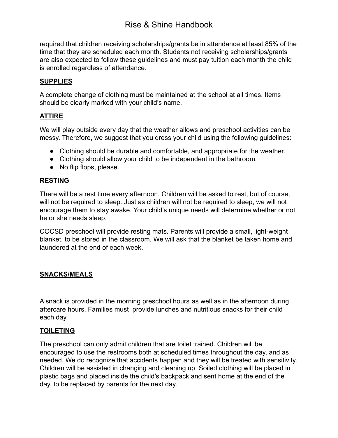required that children receiving scholarships/grants be in attendance at least 85% of the time that they are scheduled each month. Students not receiving scholarships/grants are also expected to follow these guidelines and must pay tuition each month the child is enrolled regardless of attendance.

#### **SUPPLIES**

A complete change of clothing must be maintained at the school at all times. Items should be clearly marked with your child's name.

#### **ATTIRE**

We will play outside every day that the weather allows and preschool activities can be messy. Therefore, we suggest that you dress your child using the following guidelines:

- Clothing should be durable and comfortable, and appropriate for the weather.
- Clothing should allow your child to be independent in the bathroom.
- No flip flops, please.

#### **RESTING**

There will be a rest time every afternoon. Children will be asked to rest, but of course, will not be required to sleep. Just as children will not be required to sleep, we will not encourage them to stay awake. Your child's unique needs will determine whether or not he or she needs sleep.

COCSD preschool will provide resting mats. Parents will provide a small, light-weight blanket, to be stored in the classroom. We will ask that the blanket be taken home and laundered at the end of each week.

#### **SNACKS/MEALS**

A snack is provided in the morning preschool hours as well as in the afternoon during aftercare hours. Families must provide lunches and nutritious snacks for their child each day.

#### **TOILETING**

The preschool can only admit children that are toilet trained. Children will be encouraged to use the restrooms both at scheduled times throughout the day, and as needed. We do recognize that accidents happen and they will be treated with sensitivity. Children will be assisted in changing and cleaning up. Soiled clothing will be placed in plastic bags and placed inside the child's backpack and sent home at the end of the day, to be replaced by parents for the next day.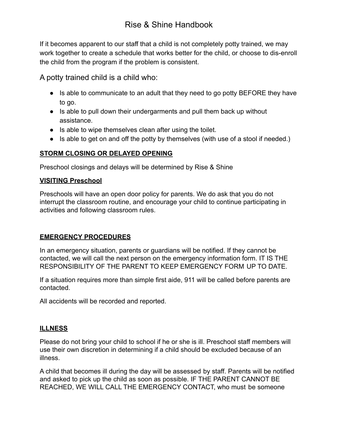If it becomes apparent to our staff that a child is not completely potty trained, we may work together to create a schedule that works better for the child, or choose to dis-enroll the child from the program if the problem is consistent.

A potty trained child is a child who:

- Is able to communicate to an adult that they need to go potty BEFORE they have to go.
- Is able to pull down their undergarments and pull them back up without assistance.
- Is able to wipe themselves clean after using the toilet.
- Is able to get on and off the potty by themselves (with use of a stool if needed.)

## **STORM CLOSING OR DELAYED OPENING**

Preschool closings and delays will be determined by Rise & Shine

### **VISITING Preschool**

Preschools will have an open door policy for parents. We do ask that you do not interrupt the classroom routine, and encourage your child to continue participating in activities and following classroom rules.

#### **EMERGENCY PROCEDURES**

In an emergency situation, parents or guardians will be notified. If they cannot be contacted, we will call the next person on the emergency information form. IT IS THE RESPONSIBILITY OF THE PARENT TO KEEP EMERGENCY FORM UP TO DATE.

If a situation requires more than simple first aide, 911 will be called before parents are contacted.

All accidents will be recorded and reported.

## **ILLNESS**

Please do not bring your child to school if he or she is ill. Preschool staff members will use their own discretion in determining if a child should be excluded because of an illness.

A child that becomes ill during the day will be assessed by staff. Parents will be notified and asked to pick up the child as soon as possible. IF THE PARENT CANNOT BE REACHED, WE WILL CALL THE EMERGENCY CONTACT, who must be someone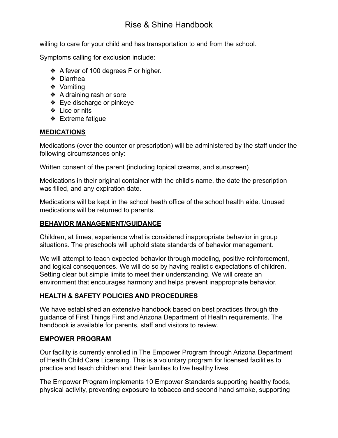willing to care for your child and has transportation to and from the school.

Symptoms calling for exclusion include:

- ❖ A fever of 100 degrees F or higher.
- ❖ Diarrhea
- ❖ Vomiting
- ❖ A draining rash or sore
- ❖ Eye discharge or pinkeye
- ❖ Lice or nits
- ❖ Extreme fatigue

## **MEDICATIONS**

Medications (over the counter or prescription) will be administered by the staff under the following circumstances only:

Written consent of the parent (including topical creams, and sunscreen)

Medications in their original container with the child's name, the date the prescription was filled, and any expiration date.

Medications will be kept in the school heath office of the school health aide. Unused medications will be returned to parents.

## **BEHAVIOR MANAGEMENT/GUIDANCE**

Children, at times, experience what is considered inappropriate behavior in group situations. The preschools will uphold state standards of behavior management.

We will attempt to teach expected behavior through modeling, positive reinforcement, and logical consequences. We will do so by having realistic expectations of children. Setting clear but simple limits to meet their understanding. We will create an environment that encourages harmony and helps prevent inappropriate behavior.

## **HEALTH & SAFETY POLICIES AND PROCEDURES**

We have established an extensive handbook based on best practices through the guidance of First Things First and Arizona Department of Health requirements. The handbook is available for parents, staff and visitors to review.

## **EMPOWER PROGRAM**

Our facility is currently enrolled in The Empower Program through Arizona Department of Health Child Care Licensing. This is a voluntary program for licensed facilities to practice and teach children and their families to live healthy lives.

The Empower Program implements 10 Empower Standards supporting healthy foods, physical activity, preventing exposure to tobacco and second hand smoke, supporting